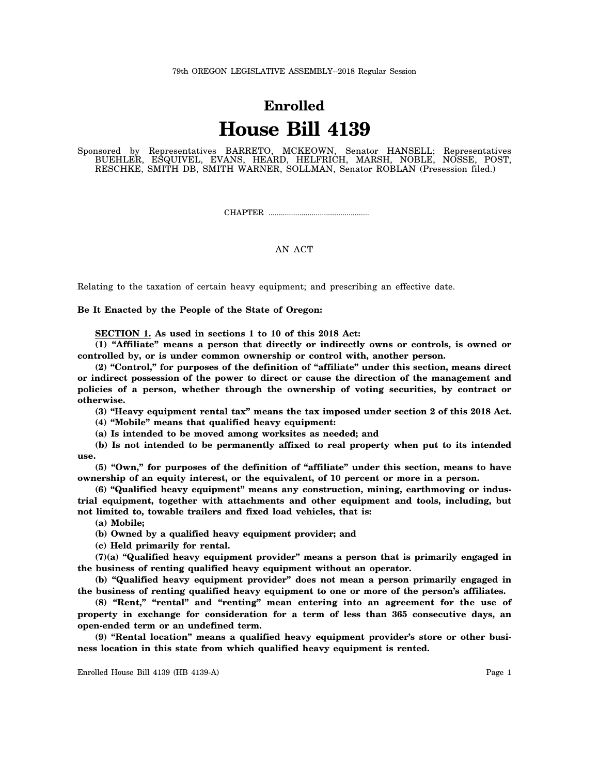## 79th OREGON LEGISLATIVE ASSEMBLY--2018 Regular Session

## **Enrolled House Bill 4139**

Sponsored by Representatives BARRETO, MCKEOWN, Senator HANSELL; Representatives BUEHLER, ESQUIVEL, EVANS, HEARD, HELFRICH, MARSH, NOBLE, NOSSE, POST, RESCHKE, SMITH DB, SMITH WARNER, SOLLMAN, Senator ROBLAN (Presession filed.)

CHAPTER .................................................

## AN ACT

Relating to the taxation of certain heavy equipment; and prescribing an effective date.

**Be It Enacted by the People of the State of Oregon:**

**SECTION 1. As used in sections 1 to 10 of this 2018 Act:**

**(1) "Affiliate" means a person that directly or indirectly owns or controls, is owned or controlled by, or is under common ownership or control with, another person.**

**(2) "Control," for purposes of the definition of "affiliate" under this section, means direct or indirect possession of the power to direct or cause the direction of the management and policies of a person, whether through the ownership of voting securities, by contract or otherwise.**

**(3) "Heavy equipment rental tax" means the tax imposed under section 2 of this 2018 Act.**

**(4) "Mobile" means that qualified heavy equipment:**

**(a) Is intended to be moved among worksites as needed; and**

**(b) Is not intended to be permanently affixed to real property when put to its intended use.**

**(5) "Own," for purposes of the definition of "affiliate" under this section, means to have ownership of an equity interest, or the equivalent, of 10 percent or more in a person.**

**(6) "Qualified heavy equipment" means any construction, mining, earthmoving or industrial equipment, together with attachments and other equipment and tools, including, but not limited to, towable trailers and fixed load vehicles, that is:**

**(a) Mobile;**

**(b) Owned by a qualified heavy equipment provider; and**

**(c) Held primarily for rental.**

**(7)(a) "Qualified heavy equipment provider" means a person that is primarily engaged in the business of renting qualified heavy equipment without an operator.**

**(b) "Qualified heavy equipment provider" does not mean a person primarily engaged in the business of renting qualified heavy equipment to one or more of the person's affiliates.**

**(8) "Rent," "rental" and "renting" mean entering into an agreement for the use of property in exchange for consideration for a term of less than 365 consecutive days, an open-ended term or an undefined term.**

**(9) "Rental location" means a qualified heavy equipment provider's store or other business location in this state from which qualified heavy equipment is rented.**

Enrolled House Bill 4139 (HB 4139-A) Page 1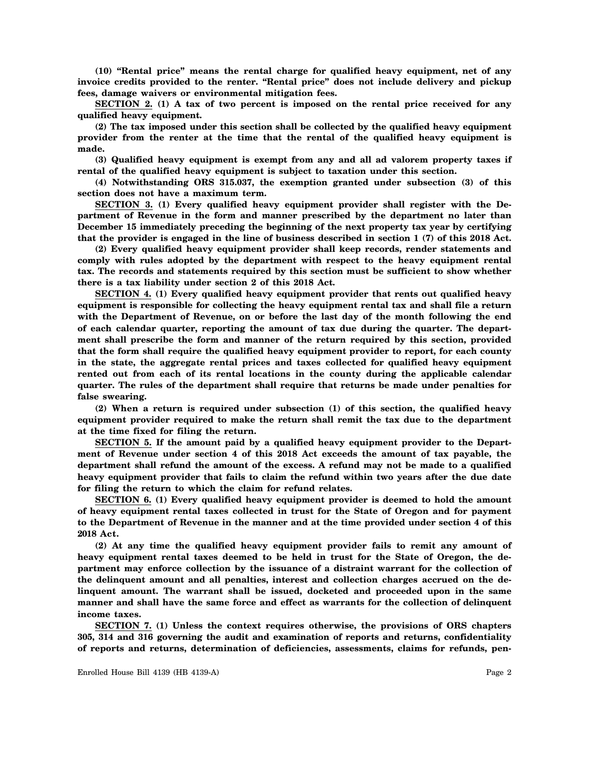**(10) "Rental price" means the rental charge for qualified heavy equipment, net of any invoice credits provided to the renter. "Rental price" does not include delivery and pickup fees, damage waivers or environmental mitigation fees.**

**SECTION 2. (1) A tax of two percent is imposed on the rental price received for any qualified heavy equipment.**

**(2) The tax imposed under this section shall be collected by the qualified heavy equipment provider from the renter at the time that the rental of the qualified heavy equipment is made.**

**(3) Qualified heavy equipment is exempt from any and all ad valorem property taxes if rental of the qualified heavy equipment is subject to taxation under this section.**

**(4) Notwithstanding ORS 315.037, the exemption granted under subsection (3) of this section does not have a maximum term.**

**SECTION 3. (1) Every qualified heavy equipment provider shall register with the Department of Revenue in the form and manner prescribed by the department no later than December 15 immediately preceding the beginning of the next property tax year by certifying that the provider is engaged in the line of business described in section 1 (7) of this 2018 Act.**

**(2) Every qualified heavy equipment provider shall keep records, render statements and comply with rules adopted by the department with respect to the heavy equipment rental tax. The records and statements required by this section must be sufficient to show whether there is a tax liability under section 2 of this 2018 Act.**

**SECTION 4. (1) Every qualified heavy equipment provider that rents out qualified heavy equipment is responsible for collecting the heavy equipment rental tax and shall file a return with the Department of Revenue, on or before the last day of the month following the end of each calendar quarter, reporting the amount of tax due during the quarter. The department shall prescribe the form and manner of the return required by this section, provided that the form shall require the qualified heavy equipment provider to report, for each county in the state, the aggregate rental prices and taxes collected for qualified heavy equipment rented out from each of its rental locations in the county during the applicable calendar quarter. The rules of the department shall require that returns be made under penalties for false swearing.**

**(2) When a return is required under subsection (1) of this section, the qualified heavy equipment provider required to make the return shall remit the tax due to the department at the time fixed for filing the return.**

**SECTION 5. If the amount paid by a qualified heavy equipment provider to the Department of Revenue under section 4 of this 2018 Act exceeds the amount of tax payable, the department shall refund the amount of the excess. A refund may not be made to a qualified heavy equipment provider that fails to claim the refund within two years after the due date for filing the return to which the claim for refund relates.**

**SECTION 6. (1) Every qualified heavy equipment provider is deemed to hold the amount of heavy equipment rental taxes collected in trust for the State of Oregon and for payment to the Department of Revenue in the manner and at the time provided under section 4 of this 2018 Act.**

**(2) At any time the qualified heavy equipment provider fails to remit any amount of heavy equipment rental taxes deemed to be held in trust for the State of Oregon, the department may enforce collection by the issuance of a distraint warrant for the collection of the delinquent amount and all penalties, interest and collection charges accrued on the delinquent amount. The warrant shall be issued, docketed and proceeded upon in the same manner and shall have the same force and effect as warrants for the collection of delinquent income taxes.**

**SECTION 7. (1) Unless the context requires otherwise, the provisions of ORS chapters 305, 314 and 316 governing the audit and examination of reports and returns, confidentiality of reports and returns, determination of deficiencies, assessments, claims for refunds, pen-**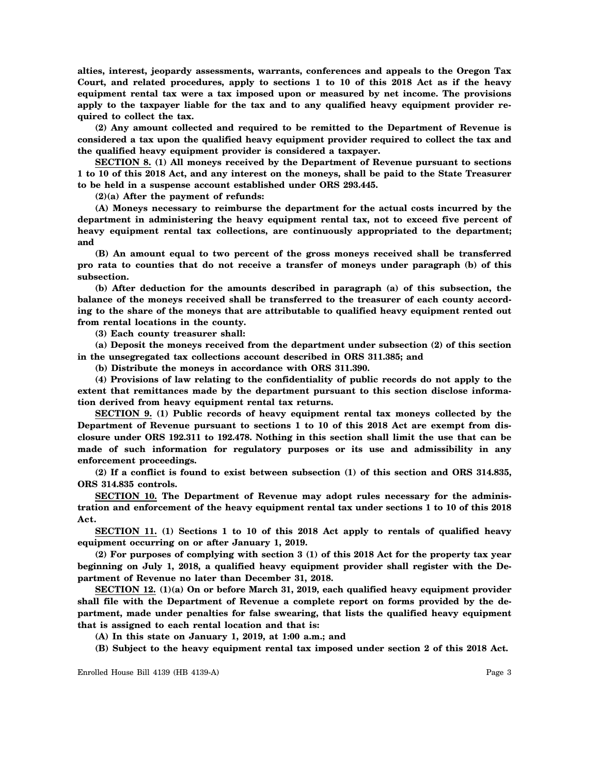**alties, interest, jeopardy assessments, warrants, conferences and appeals to the Oregon Tax Court, and related procedures, apply to sections 1 to 10 of this 2018 Act as if the heavy equipment rental tax were a tax imposed upon or measured by net income. The provisions apply to the taxpayer liable for the tax and to any qualified heavy equipment provider required to collect the tax.**

**(2) Any amount collected and required to be remitted to the Department of Revenue is considered a tax upon the qualified heavy equipment provider required to collect the tax and the qualified heavy equipment provider is considered a taxpayer.**

**SECTION 8. (1) All moneys received by the Department of Revenue pursuant to sections 1 to 10 of this 2018 Act, and any interest on the moneys, shall be paid to the State Treasurer to be held in a suspense account established under ORS 293.445.**

**(2)(a) After the payment of refunds:**

**(A) Moneys necessary to reimburse the department for the actual costs incurred by the department in administering the heavy equipment rental tax, not to exceed five percent of heavy equipment rental tax collections, are continuously appropriated to the department; and**

**(B) An amount equal to two percent of the gross moneys received shall be transferred pro rata to counties that do not receive a transfer of moneys under paragraph (b) of this subsection.**

**(b) After deduction for the amounts described in paragraph (a) of this subsection, the balance of the moneys received shall be transferred to the treasurer of each county according to the share of the moneys that are attributable to qualified heavy equipment rented out from rental locations in the county.**

**(3) Each county treasurer shall:**

**(a) Deposit the moneys received from the department under subsection (2) of this section in the unsegregated tax collections account described in ORS 311.385; and**

**(b) Distribute the moneys in accordance with ORS 311.390.**

**(4) Provisions of law relating to the confidentiality of public records do not apply to the extent that remittances made by the department pursuant to this section disclose information derived from heavy equipment rental tax returns.**

**SECTION 9. (1) Public records of heavy equipment rental tax moneys collected by the Department of Revenue pursuant to sections 1 to 10 of this 2018 Act are exempt from disclosure under ORS 192.311 to 192.478. Nothing in this section shall limit the use that can be made of such information for regulatory purposes or its use and admissibility in any enforcement proceedings.**

**(2) If a conflict is found to exist between subsection (1) of this section and ORS 314.835, ORS 314.835 controls.**

**SECTION 10. The Department of Revenue may adopt rules necessary for the administration and enforcement of the heavy equipment rental tax under sections 1 to 10 of this 2018 Act.**

**SECTION 11. (1) Sections 1 to 10 of this 2018 Act apply to rentals of qualified heavy equipment occurring on or after January 1, 2019.**

**(2) For purposes of complying with section 3 (1) of this 2018 Act for the property tax year beginning on July 1, 2018, a qualified heavy equipment provider shall register with the Department of Revenue no later than December 31, 2018.**

**SECTION 12. (1)(a) On or before March 31, 2019, each qualified heavy equipment provider shall file with the Department of Revenue a complete report on forms provided by the department, made under penalties for false swearing, that lists the qualified heavy equipment that is assigned to each rental location and that is:**

**(A) In this state on January 1, 2019, at 1:00 a.m.; and**

**(B) Subject to the heavy equipment rental tax imposed under section 2 of this 2018 Act.**

Enrolled House Bill 4139 (HB 4139-A) Page 3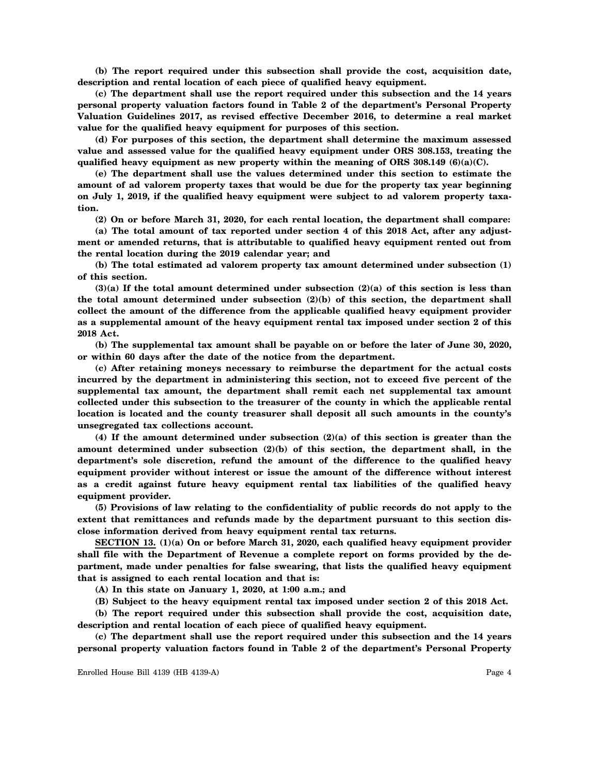**(b) The report required under this subsection shall provide the cost, acquisition date, description and rental location of each piece of qualified heavy equipment.**

**(c) The department shall use the report required under this subsection and the 14 years personal property valuation factors found in Table 2 of the department's Personal Property Valuation Guidelines 2017, as revised effective December 2016, to determine a real market value for the qualified heavy equipment for purposes of this section.**

**(d) For purposes of this section, the department shall determine the maximum assessed value and assessed value for the qualified heavy equipment under ORS 308.153, treating the qualified heavy equipment as new property within the meaning of ORS 308.149 (6)(a)(C).**

**(e) The department shall use the values determined under this section to estimate the amount of ad valorem property taxes that would be due for the property tax year beginning on July 1, 2019, if the qualified heavy equipment were subject to ad valorem property taxation.**

**(2) On or before March 31, 2020, for each rental location, the department shall compare:**

**(a) The total amount of tax reported under section 4 of this 2018 Act, after any adjustment or amended returns, that is attributable to qualified heavy equipment rented out from the rental location during the 2019 calendar year; and**

**(b) The total estimated ad valorem property tax amount determined under subsection (1) of this section.**

**(3)(a) If the total amount determined under subsection (2)(a) of this section is less than the total amount determined under subsection (2)(b) of this section, the department shall collect the amount of the difference from the applicable qualified heavy equipment provider as a supplemental amount of the heavy equipment rental tax imposed under section 2 of this 2018 Act.**

**(b) The supplemental tax amount shall be payable on or before the later of June 30, 2020, or within 60 days after the date of the notice from the department.**

**(c) After retaining moneys necessary to reimburse the department for the actual costs incurred by the department in administering this section, not to exceed five percent of the supplemental tax amount, the department shall remit each net supplemental tax amount collected under this subsection to the treasurer of the county in which the applicable rental location is located and the county treasurer shall deposit all such amounts in the county's unsegregated tax collections account.**

**(4) If the amount determined under subsection (2)(a) of this section is greater than the amount determined under subsection (2)(b) of this section, the department shall, in the department's sole discretion, refund the amount of the difference to the qualified heavy equipment provider without interest or issue the amount of the difference without interest as a credit against future heavy equipment rental tax liabilities of the qualified heavy equipment provider.**

**(5) Provisions of law relating to the confidentiality of public records do not apply to the extent that remittances and refunds made by the department pursuant to this section disclose information derived from heavy equipment rental tax returns.**

**SECTION 13. (1)(a) On or before March 31, 2020, each qualified heavy equipment provider shall file with the Department of Revenue a complete report on forms provided by the department, made under penalties for false swearing, that lists the qualified heavy equipment that is assigned to each rental location and that is:**

**(A) In this state on January 1, 2020, at 1:00 a.m.; and**

**(B) Subject to the heavy equipment rental tax imposed under section 2 of this 2018 Act.**

**(b) The report required under this subsection shall provide the cost, acquisition date, description and rental location of each piece of qualified heavy equipment.**

**(c) The department shall use the report required under this subsection and the 14 years personal property valuation factors found in Table 2 of the department's Personal Property**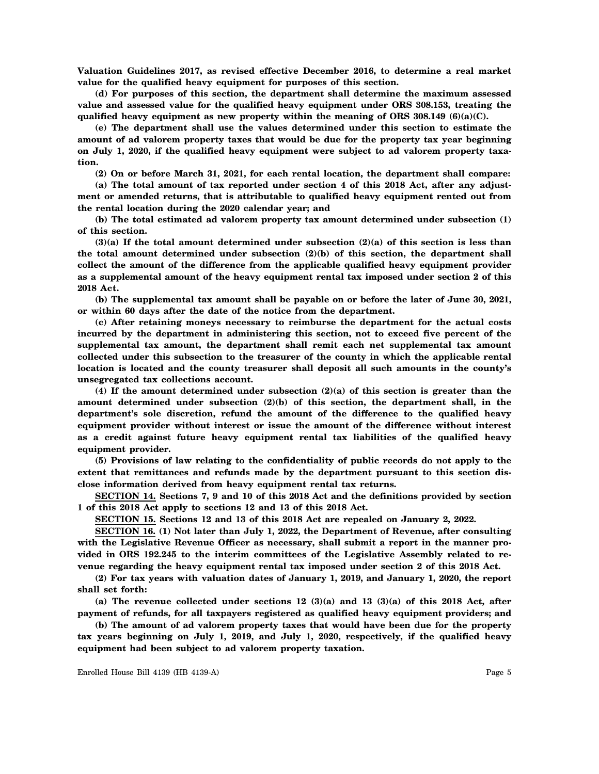**Valuation Guidelines 2017, as revised effective December 2016, to determine a real market value for the qualified heavy equipment for purposes of this section.**

**(d) For purposes of this section, the department shall determine the maximum assessed value and assessed value for the qualified heavy equipment under ORS 308.153, treating the qualified heavy equipment as new property within the meaning of ORS 308.149 (6)(a)(C).**

**(e) The department shall use the values determined under this section to estimate the amount of ad valorem property taxes that would be due for the property tax year beginning on July 1, 2020, if the qualified heavy equipment were subject to ad valorem property taxation.**

**(2) On or before March 31, 2021, for each rental location, the department shall compare:**

**(a) The total amount of tax reported under section 4 of this 2018 Act, after any adjustment or amended returns, that is attributable to qualified heavy equipment rented out from the rental location during the 2020 calendar year; and**

**(b) The total estimated ad valorem property tax amount determined under subsection (1) of this section.**

**(3)(a) If the total amount determined under subsection (2)(a) of this section is less than the total amount determined under subsection (2)(b) of this section, the department shall collect the amount of the difference from the applicable qualified heavy equipment provider as a supplemental amount of the heavy equipment rental tax imposed under section 2 of this 2018 Act.**

**(b) The supplemental tax amount shall be payable on or before the later of June 30, 2021, or within 60 days after the date of the notice from the department.**

**(c) After retaining moneys necessary to reimburse the department for the actual costs incurred by the department in administering this section, not to exceed five percent of the supplemental tax amount, the department shall remit each net supplemental tax amount collected under this subsection to the treasurer of the county in which the applicable rental location is located and the county treasurer shall deposit all such amounts in the county's unsegregated tax collections account.**

**(4) If the amount determined under subsection (2)(a) of this section is greater than the amount determined under subsection (2)(b) of this section, the department shall, in the department's sole discretion, refund the amount of the difference to the qualified heavy equipment provider without interest or issue the amount of the difference without interest as a credit against future heavy equipment rental tax liabilities of the qualified heavy equipment provider.**

**(5) Provisions of law relating to the confidentiality of public records do not apply to the extent that remittances and refunds made by the department pursuant to this section disclose information derived from heavy equipment rental tax returns.**

**SECTION 14. Sections 7, 9 and 10 of this 2018 Act and the definitions provided by section 1 of this 2018 Act apply to sections 12 and 13 of this 2018 Act.**

**SECTION 15. Sections 12 and 13 of this 2018 Act are repealed on January 2, 2022.**

**SECTION 16. (1) Not later than July 1, 2022, the Department of Revenue, after consulting** with the Legislative Revenue Officer as necessary, shall submit a report in the manner pro**vided in ORS 192.245 to the interim committees of the Legislative Assembly related to revenue regarding the heavy equipment rental tax imposed under section 2 of this 2018 Act.**

**(2) For tax years with valuation dates of January 1, 2019, and January 1, 2020, the report shall set forth:**

**(a) The revenue collected under sections 12 (3)(a) and 13 (3)(a) of this 2018 Act, after payment of refunds, for all taxpayers registered as qualified heavy equipment providers; and**

**(b) The amount of ad valorem property taxes that would have been due for the property tax years beginning on July 1, 2019, and July 1, 2020, respectively, if the qualified heavy equipment had been subject to ad valorem property taxation.**